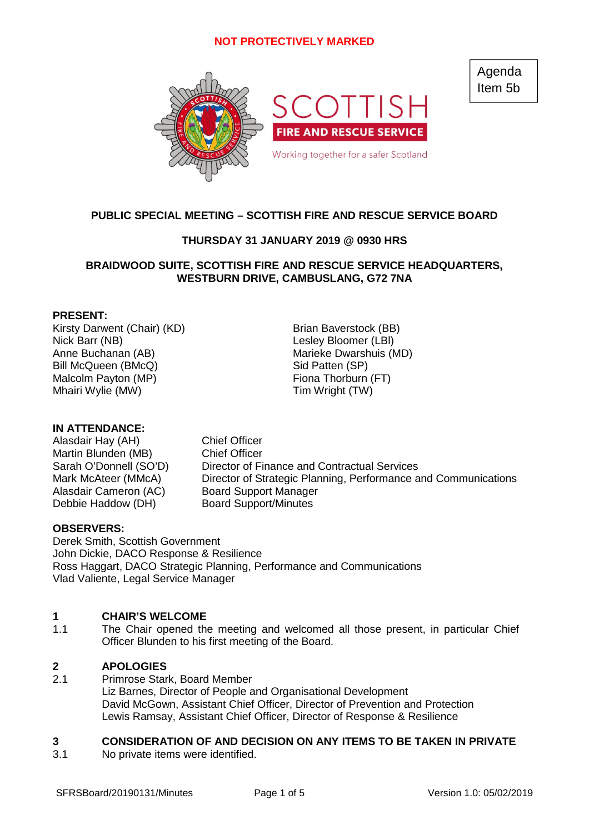

Agenda Item 5b

# **PUBLIC SPECIAL MEETING – SCOTTISH FIRE AND RESCUE SERVICE BOARD**

# **THURSDAY 31 JANUARY 2019 @ 0930 HRS**

# **BRAIDWOOD SUITE, SCOTTISH FIRE AND RESCUE SERVICE HEADQUARTERS, WESTBURN DRIVE, CAMBUSLANG, G72 7NA**

### **PRESENT:**

Kirsty Darwent (Chair) (KD) Brian Baverstock (BB) Nick Barr (NB) Lesley Bloomer (LBl) Anne Buchanan (AB) Marieke Dwarshuis (MD) Bill McQueen (BMcQ) Sid Patten (SP) Malcolm Payton (MP) Fiona Thorburn (FT) Mhairi Wylie (MW) Tim Wright (TW)

**IN ATTENDANCE:**

Alasdair Hay (AH) Chief Officer Martin Blunden (MB) Chief Officer

Sarah O'Donnell (SO'D) Director of Finance and Contractual Services Mark McAteer (MMcA) Director of Strategic Planning, Performance and Communications Alasdair Cameron (AC) Board Support Manager Debbie Haddow (DH) Board Support/Minutes

### **OBSERVERS:**

Derek Smith, Scottish Government John Dickie, DACO Response & Resilience Ross Haggart, DACO Strategic Planning, Performance and Communications Vlad Valiente, Legal Service Manager

#### **1 CHAIR'S WELCOME**

1.1 The Chair opened the meeting and welcomed all those present, in particular Chief Officer Blunden to his first meeting of the Board.

#### **2 APOLOGIES**

2.1 Primrose Stark, Board Member Liz Barnes, Director of People and Organisational Development David McGown, Assistant Chief Officer, Director of Prevention and Protection Lewis Ramsay, Assistant Chief Officer, Director of Response & Resilience

#### **3 CONSIDERATION OF AND DECISION ON ANY ITEMS TO BE TAKEN IN PRIVATE**

3.1 No private items were identified.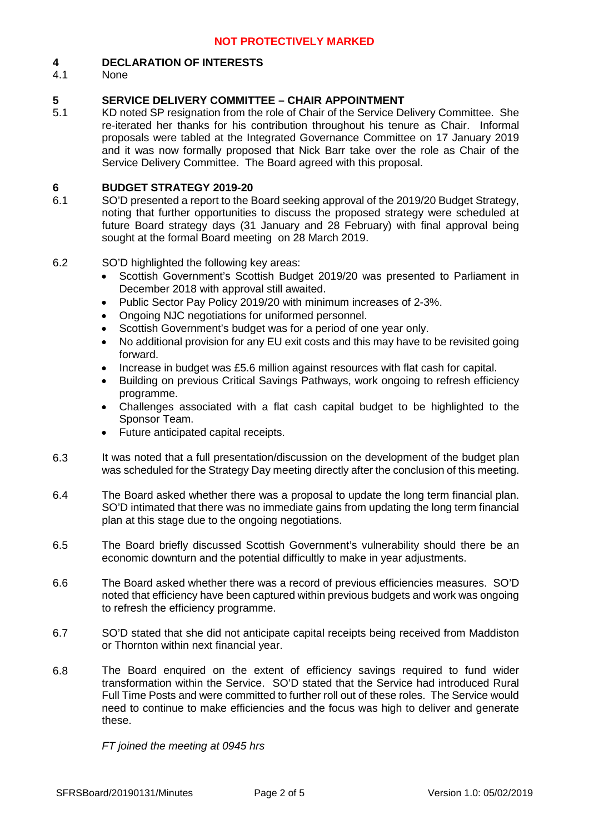#### **4 DECLARATION OF INTERESTS**

4.1 None

#### **5 SERVICE DELIVERY COMMITTEE – CHAIR APPOINTMENT**

5.1 KD noted SP resignation from the role of Chair of the Service Delivery Committee. She re-iterated her thanks for his contribution throughout his tenure as Chair. Informal proposals were tabled at the Integrated Governance Committee on 17 January 2019 and it was now formally proposed that Nick Barr take over the role as Chair of the Service Delivery Committee. The Board agreed with this proposal.

#### **6 BUDGET STRATEGY 2019-20**

- 6.1 SO'D presented a report to the Board seeking approval of the 2019/20 Budget Strategy, noting that further opportunities to discuss the proposed strategy were scheduled at future Board strategy days (31 January and 28 February) with final approval being sought at the formal Board meeting on 28 March 2019.
- 6.2 SO'D highlighted the following key areas:
	- Scottish Government's Scottish Budget 2019/20 was presented to Parliament in December 2018 with approval still awaited.
	- Public Sector Pay Policy 2019/20 with minimum increases of 2-3%.
	- Ongoing NJC negotiations for uniformed personnel.
	- Scottish Government's budget was for a period of one year only.
	- No additional provision for any EU exit costs and this may have to be revisited going forward.
	- Increase in budget was £5.6 million against resources with flat cash for capital.
	- Building on previous Critical Savings Pathways, work ongoing to refresh efficiency programme.
	- Challenges associated with a flat cash capital budget to be highlighted to the Sponsor Team.
	- Future anticipated capital receipts.
- 6.3 It was noted that a full presentation/discussion on the development of the budget plan was scheduled for the Strategy Day meeting directly after the conclusion of this meeting.
- 6.4 The Board asked whether there was a proposal to update the long term financial plan. SO'D intimated that there was no immediate gains from updating the long term financial plan at this stage due to the ongoing negotiations.
- 6.5 The Board briefly discussed Scottish Government's vulnerability should there be an economic downturn and the potential difficultly to make in year adjustments.
- 6.6 The Board asked whether there was a record of previous efficiencies measures. SO'D noted that efficiency have been captured within previous budgets and work was ongoing to refresh the efficiency programme.
- 6.7 SO'D stated that she did not anticipate capital receipts being received from Maddiston or Thornton within next financial year.
- 6.8 The Board enquired on the extent of efficiency savings required to fund wider transformation within the Service. SO'D stated that the Service had introduced Rural Full Time Posts and were committed to further roll out of these roles. The Service would need to continue to make efficiencies and the focus was high to deliver and generate these.

*FT joined the meeting at 0945 hrs*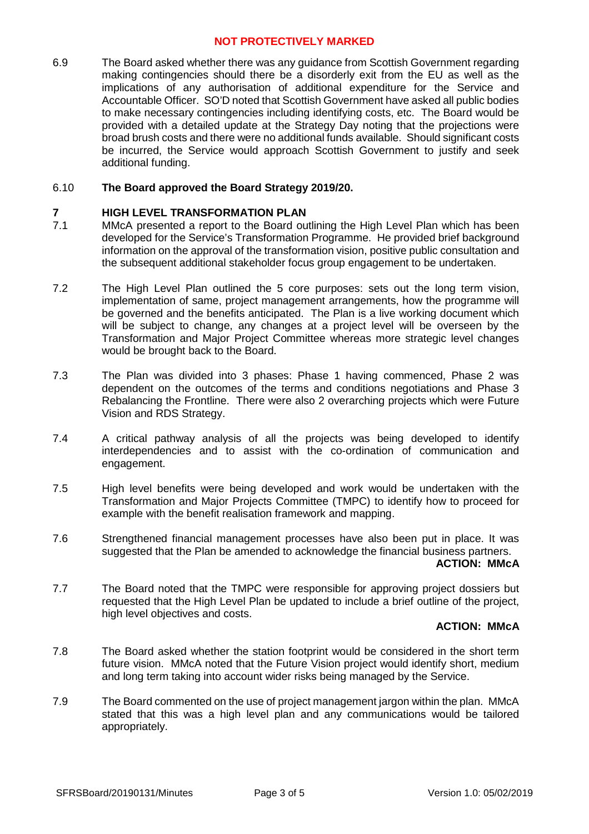6.9 The Board asked whether there was any guidance from Scottish Government regarding making contingencies should there be a disorderly exit from the EU as well as the implications of any authorisation of additional expenditure for the Service and Accountable Officer. SO'D noted that Scottish Government have asked all public bodies to make necessary contingencies including identifying costs, etc. The Board would be provided with a detailed update at the Strategy Day noting that the projections were broad brush costs and there were no additional funds available. Should significant costs be incurred, the Service would approach Scottish Government to justify and seek additional funding.

#### 6.10 **The Board approved the Board Strategy 2019/20.**

#### **7 HIGH LEVEL TRANSFORMATION PLAN**

- 7.1 MMcA presented a report to the Board outlining the High Level Plan which has been developed for the Service's Transformation Programme. He provided brief background information on the approval of the transformation vision, positive public consultation and the subsequent additional stakeholder focus group engagement to be undertaken.
- 7.2 The High Level Plan outlined the 5 core purposes: sets out the long term vision, implementation of same, project management arrangements, how the programme will be governed and the benefits anticipated. The Plan is a live working document which will be subject to change, any changes at a project level will be overseen by the Transformation and Major Project Committee whereas more strategic level changes would be brought back to the Board.
- 7.3 The Plan was divided into 3 phases: Phase 1 having commenced, Phase 2 was dependent on the outcomes of the terms and conditions negotiations and Phase 3 Rebalancing the Frontline. There were also 2 overarching projects which were Future Vision and RDS Strategy.
- 7.4 A critical pathway analysis of all the projects was being developed to identify interdependencies and to assist with the co-ordination of communication and engagement.
- 7.5 High level benefits were being developed and work would be undertaken with the Transformation and Major Projects Committee (TMPC) to identify how to proceed for example with the benefit realisation framework and mapping.
- 7.6 Strengthened financial management processes have also been put in place. It was suggested that the Plan be amended to acknowledge the financial business partners.

### **ACTION: MMcA**

7.7 The Board noted that the TMPC were responsible for approving project dossiers but requested that the High Level Plan be updated to include a brief outline of the project, high level objectives and costs.

### **ACTION: MMcA**

- 7.8 The Board asked whether the station footprint would be considered in the short term future vision. MMcA noted that the Future Vision project would identify short, medium and long term taking into account wider risks being managed by the Service.
- 7.9 The Board commented on the use of project management jargon within the plan. MMcA stated that this was a high level plan and any communications would be tailored appropriately.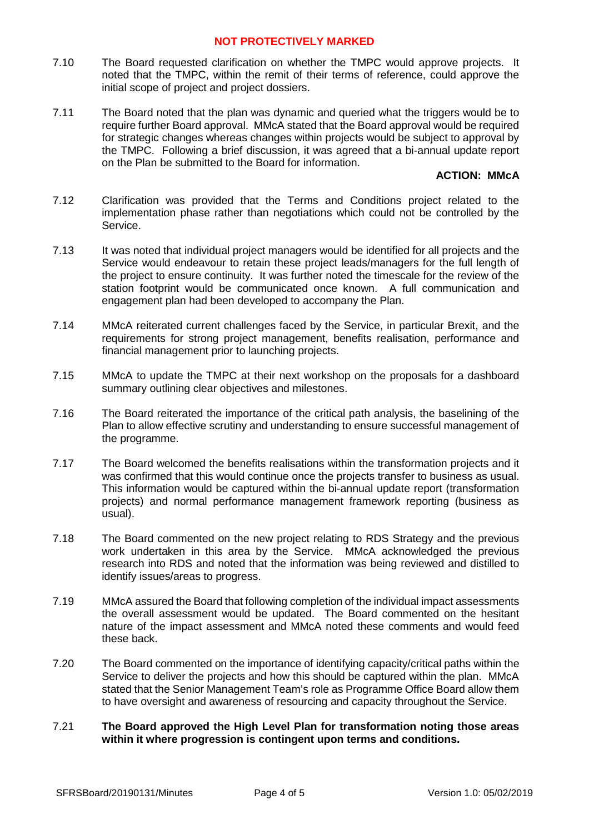- 7.10 The Board requested clarification on whether the TMPC would approve projects. It noted that the TMPC, within the remit of their terms of reference, could approve the initial scope of project and project dossiers.
- 7.11 The Board noted that the plan was dynamic and queried what the triggers would be to require further Board approval. MMcA stated that the Board approval would be required for strategic changes whereas changes within projects would be subject to approval by the TMPC. Following a brief discussion, it was agreed that a bi-annual update report on the Plan be submitted to the Board for information.

# **ACTION: MMcA**

- 7.12 Clarification was provided that the Terms and Conditions project related to the implementation phase rather than negotiations which could not be controlled by the Service.
- 7.13 It was noted that individual project managers would be identified for all projects and the Service would endeavour to retain these project leads/managers for the full length of the project to ensure continuity. It was further noted the timescale for the review of the station footprint would be communicated once known. A full communication and engagement plan had been developed to accompany the Plan.
- 7.14 MMcA reiterated current challenges faced by the Service, in particular Brexit, and the requirements for strong project management, benefits realisation, performance and financial management prior to launching projects.
- 7.15 MMcA to update the TMPC at their next workshop on the proposals for a dashboard summary outlining clear objectives and milestones.
- 7.16 The Board reiterated the importance of the critical path analysis, the baselining of the Plan to allow effective scrutiny and understanding to ensure successful management of the programme.
- 7.17 The Board welcomed the benefits realisations within the transformation projects and it was confirmed that this would continue once the projects transfer to business as usual. This information would be captured within the bi-annual update report (transformation projects) and normal performance management framework reporting (business as usual).
- 7.18 The Board commented on the new project relating to RDS Strategy and the previous work undertaken in this area by the Service. MMcA acknowledged the previous research into RDS and noted that the information was being reviewed and distilled to identify issues/areas to progress.
- 7.19 MMcA assured the Board that following completion of the individual impact assessments the overall assessment would be updated. The Board commented on the hesitant nature of the impact assessment and MMcA noted these comments and would feed these back.
- 7.20 The Board commented on the importance of identifying capacity/critical paths within the Service to deliver the projects and how this should be captured within the plan. MMcA stated that the Senior Management Team's role as Programme Office Board allow them to have oversight and awareness of resourcing and capacity throughout the Service.

### 7.21 **The Board approved the High Level Plan for transformation noting those areas within it where progression is contingent upon terms and conditions.**